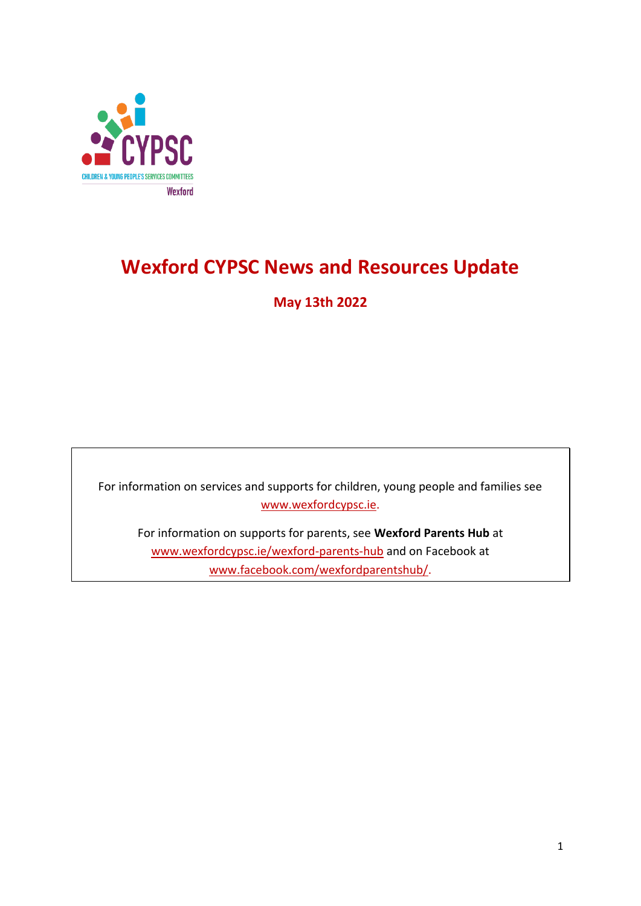

# **Wexford CYPSC News and Resources Update**

**May 13th 2022**

For information on services and supports for children, young people and families see [www.wexfordcypsc.ie.](http://www.wexfordcypsc.ie/)

For information on supports for parents, see **Wexford Parents Hub** at [www.wexfordcypsc.ie/wexford-parents-hub](http://www.wexfordcypsc.ie/wexford-parents-hub) and on Facebook at [www.facebook.com/wexfordparentshub/.](https://www.facebook.com/wexfordparentshub/)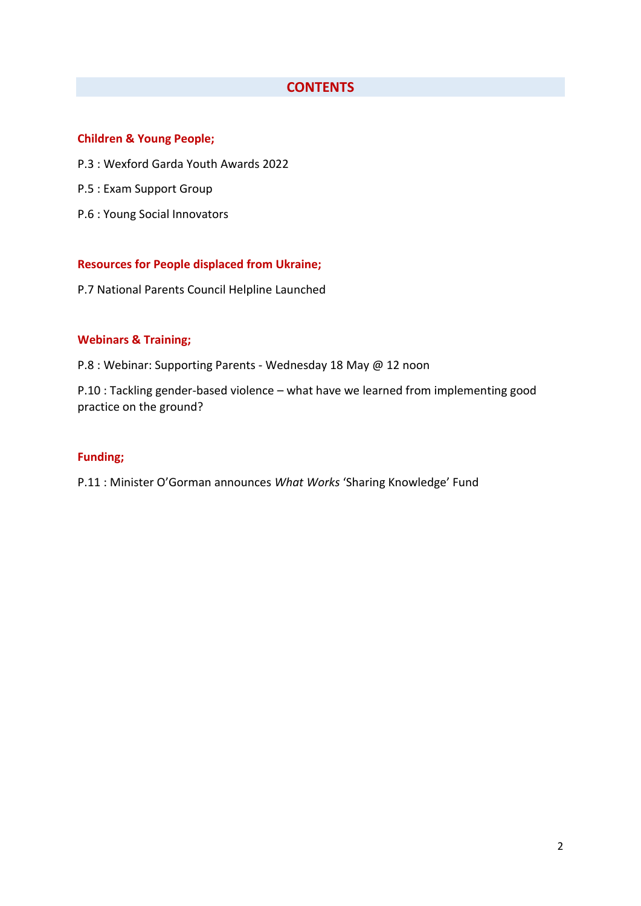## **CONTENTS**

#### **Children & Young People;**

- P.3 : Wexford Garda Youth Awards 2022
- P.5 : Exam Support Group
- P.6 : Young Social Innovators

#### **Resources for People displaced from Ukraine;**

P.7 National Parents Council Helpline Launched

#### **Webinars & Training;**

P.8 : Webinar: Supporting Parents - Wednesday 18 May @ 12 noon

P.10 : Tackling gender-based violence – what have we learned from implementing good practice on the ground?

#### **Funding;**

P.11 : Minister O'Gorman announces *What Works* 'Sharing Knowledge' Fund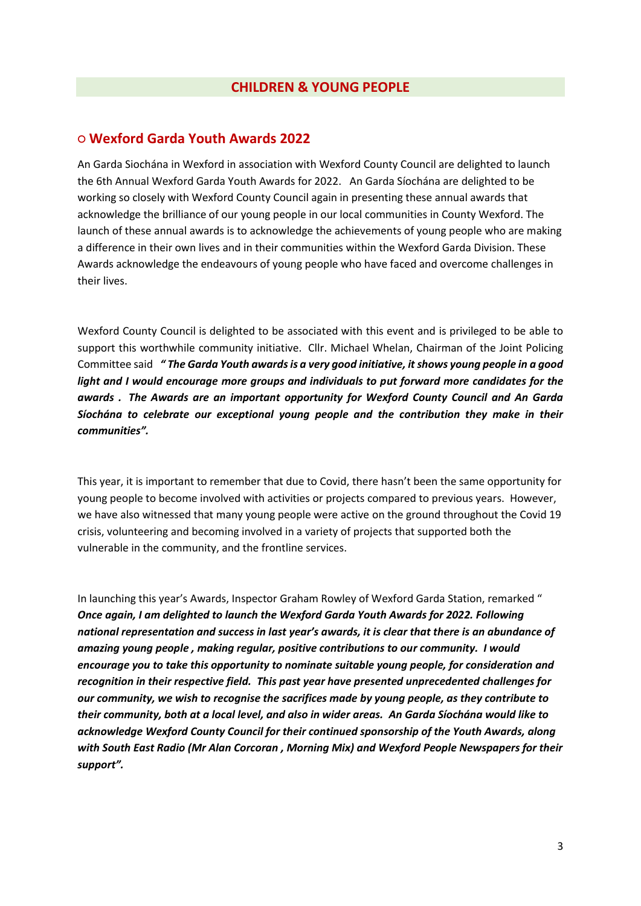## **○ Wexford Garda Youth Awards 2022**

An Garda Siochána in Wexford in association with Wexford County Council are delighted to launch the 6th Annual Wexford Garda Youth Awards for 2022. An Garda Síochána are delighted to be working so closely with Wexford County Council again in presenting these annual awards that acknowledge the brilliance of our young people in our local communities in County Wexford. The launch of these annual awards is to acknowledge the achievements of young people who are making a difference in their own lives and in their communities within the Wexford Garda Division. These Awards acknowledge the endeavours of young people who have faced and overcome challenges in their lives.

Wexford County Council is delighted to be associated with this event and is privileged to be able to support this worthwhile community initiative. Cllr. Michael Whelan, Chairman of the Joint Policing Committee said *" The Garda Youth awards is a very good initiative, it shows young people in a good light and I would encourage more groups and individuals to put forward more candidates for the awards . The Awards are an important opportunity for Wexford County Council and An Garda Síochána to celebrate our exceptional young people and the contribution they make in their communities".* 

This year, it is important to remember that due to Covid, there hasn't been the same opportunity for young people to become involved with activities or projects compared to previous years. However, we have also witnessed that many young people were active on the ground throughout the Covid 19 crisis, volunteering and becoming involved in a variety of projects that supported both the vulnerable in the community, and the frontline services.

In launching this year's Awards, Inspector Graham Rowley of Wexford Garda Station, remarked " *Once again, I am delighted to launch the Wexford Garda Youth Awards for 2022. Following national representation and success in last year's awards, it is clear that there is an abundance of amazing young people , making regular, positive contributions to our community. I would encourage you to take this opportunity to nominate suitable young people, for consideration and recognition in their respective field. This past year have presented unprecedented challenges for our community, we wish to recognise the sacrifices made by young people, as they contribute to their community, both at a local level, and also in wider areas. An Garda Síochána would like to acknowledge Wexford County Council for their continued sponsorship of the Youth Awards, along with South East Radio (Mr Alan Corcoran , Morning Mix) and Wexford People Newspapers for their support".*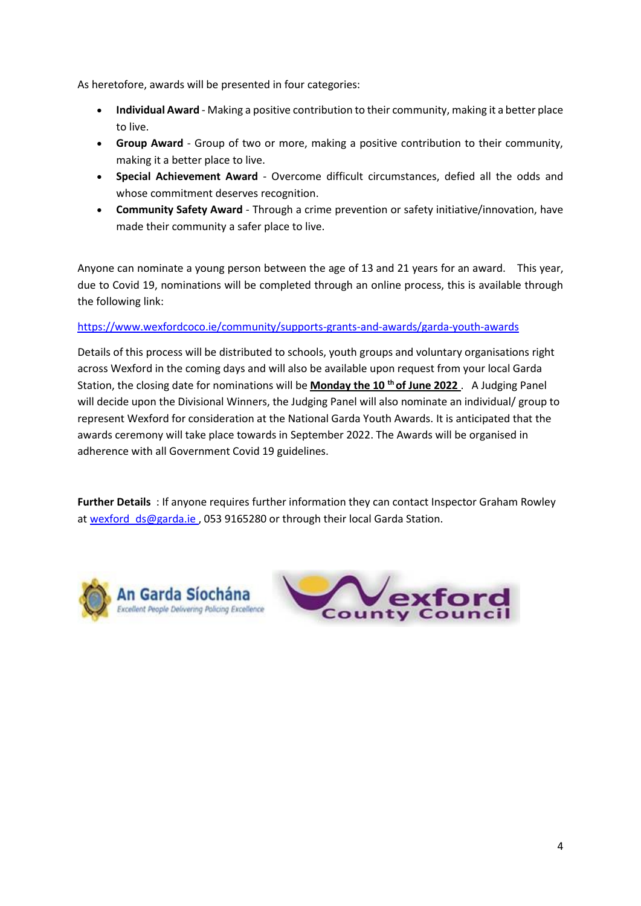As heretofore, awards will be presented in four categories:

- **Individual Award** Making a positive contribution to their community, making it a better place to live.
- **Group Award** Group of two or more, making a positive contribution to their community, making it a better place to live.
- **Special Achievement Award** Overcome difficult circumstances, defied all the odds and whose commitment deserves recognition.
- **Community Safety Award** Through a crime prevention or safety initiative/innovation, have made their community a safer place to live.

Anyone can nominate a young person between the age of 13 and 21 years for an award. This year, due to Covid 19, nominations will be completed through an online process, this is available through the following link:

#### [https://www.wexfordcoco.ie/community/supports-grants-and-awards/garda-youth-awards](https://scanner.topsec.com/?d=2304&r=show&u=https%3A%2F%2Fwww.wexfordcoco.ie%2Fcommunity%2Fsupports-grants-and-awards%2Fgarda-youth-awards&t=d82d0b87f377c49edf7f518d8d3932c9db0e3129)

Details of this process will be distributed to schools, youth groups and voluntary organisations right across Wexford in the coming days and will also be available upon request from your local Garda Station, the closing date for nominations will be **Monday the 10 th of June 2022** . A Judging Panel will decide upon the Divisional Winners, the Judging Panel will also nominate an individual/ group to represent Wexford for consideration at the National Garda Youth Awards. It is anticipated that the awards ceremony will take place towards in September 2022. The Awards will be organised in adherence with all Government Covid 19 guidelines.

**Further Details** : If anyone requires further information they can contact Inspector Graham Rowley a[t wexford\\_ds@garda.ie ,](mailto:wexford_ds@garda.ie) 053 9165280 or through their local Garda Station.



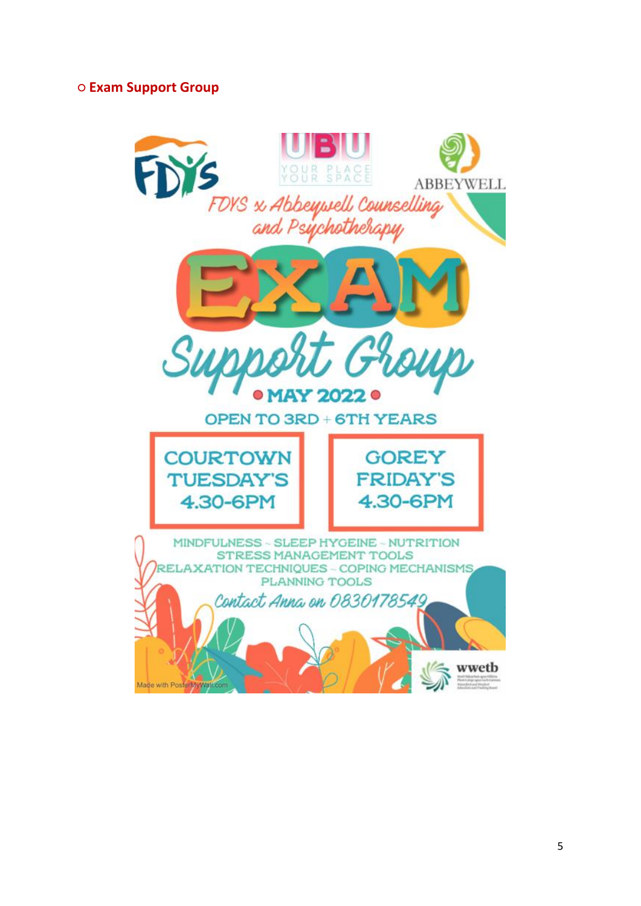# **○ Exam Support Group**

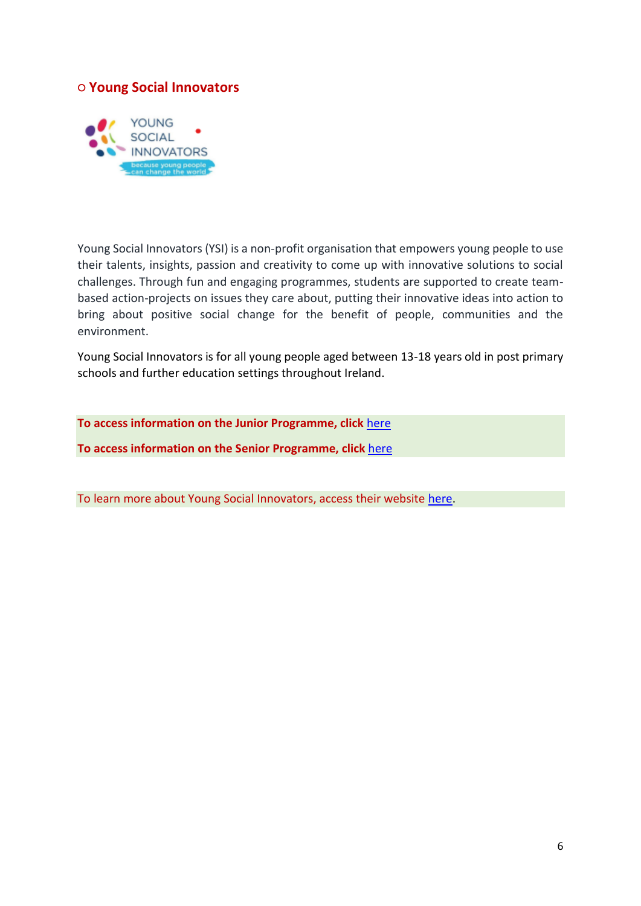## **○ Young Social Innovators**



Young Social Innovators (YSI) is a non-profit organisation that empowers young people to use their talents, insights, passion and creativity to come up with innovative solutions to social challenges. Through fun and engaging programmes, students are supported to create teambased action-projects on issues they care about, putting their innovative ideas into action to bring about positive social change for the benefit of people, communities and the environment.

Young Social Innovators is for all young people aged between 13-18 years old in post primary schools and further education settings throughout Ireland.

**To access information on the Junior Programme, click** [here](http://www.wexfordcypsc.ie/sites/default/files/content/JuniorProgrammeLeaflet2020_SEPT_WEBFINAL%20%281%29.pdf) **To access information on the Senior Programme, click** [here](http://www.wexfordcypsc.ie/sites/default/files/content/SeniorProgrammeLeaflet2020.pdf)

To learn more about Young Social Innovators, access their website [here.](https://www.youngsocialinnovators.ie/)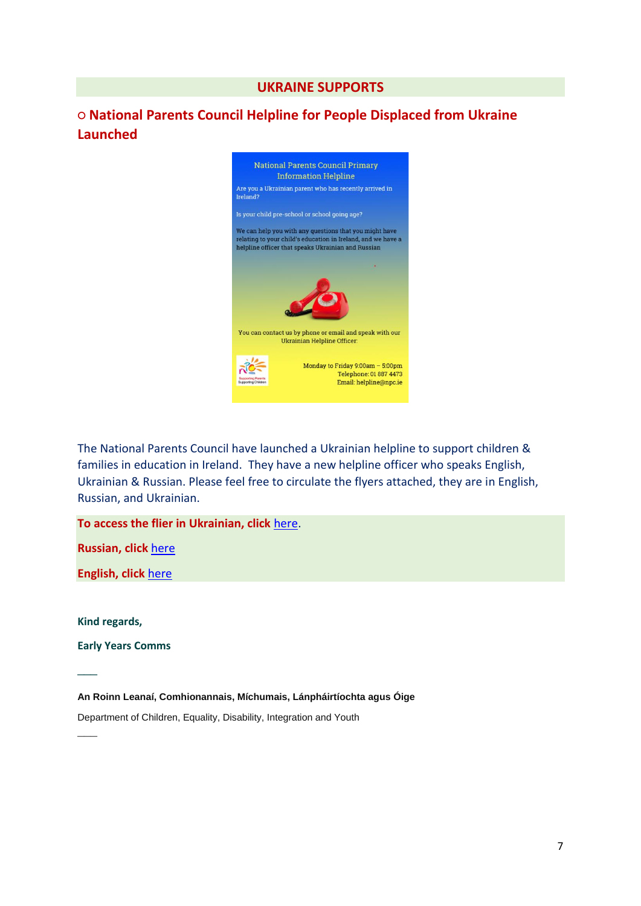### **UKRAINE SUPPORTS**

# **○ National Parents Council Helpline for People Displaced from Ukraine Launched**



The National Parents Council have launched a Ukrainian helpline to support children & families in education in Ireland. They have a new helpline officer who speaks English, Ukrainian & Russian. Please feel free to circulate the flyers attached, they are in English, Russian, and Ukrainian.

**To access the flier in Ukrainian, click** [here.](http://www.wexfordcypsc.ie/sites/default/files/content/NPC%20Flier%20Ukr.png)

**Russian, click** [here](http://www.wexfordcypsc.ie/sites/default/files/content/NPC%20Flier%20Russian.png)

**English, click** [here](http://www.wexfordcypsc.ie/sites/default/files/content/NPC%20Flier%20English.png)

**Kind regards,** 

 $\overline{\phantom{a}}$ 

 $\overline{\phantom{a}}$ 

**Early Years Comms** 

**An Roinn Leanaí, Comhionannais, Míchumais, Lánpháirtíochta agus Óige** 

Department of Children, Equality, Disability, Integration and Youth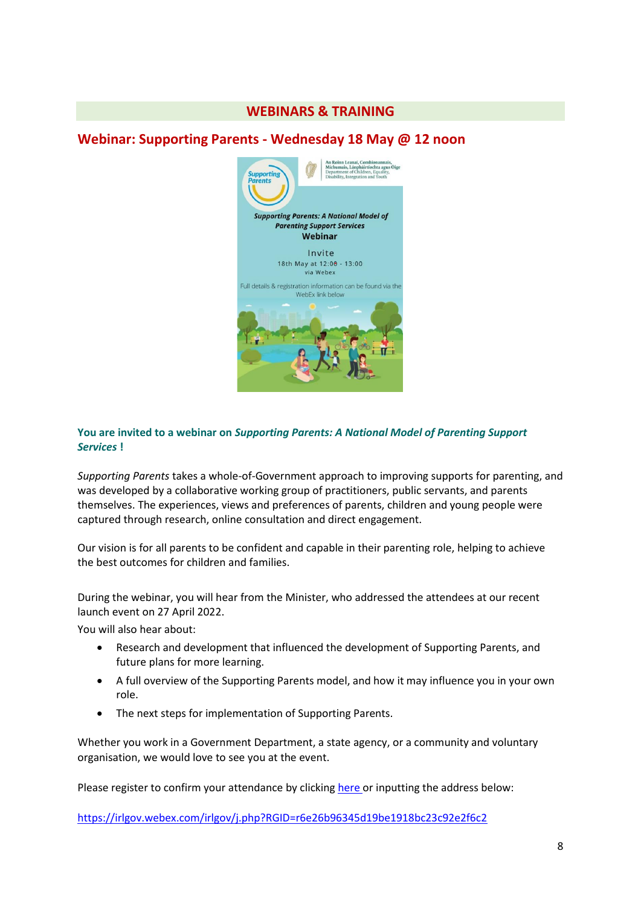## **WEBINARS & TRAINING**

## **Webinar: Supporting Parents - Wednesday 18 May @ 12 noon**



#### **You are invited to a webinar on** *Supporting Parents: A National Model of Parenting Support Services* **!**

*Supporting Parents* takes a whole-of-Government approach to improving supports for parenting, and was developed by a collaborative working group of practitioners, public servants, and parents themselves. The experiences, views and preferences of parents, children and young people were captured through research, online consultation and direct engagement.

Our vision is for all parents to be confident and capable in their parenting role, helping to achieve the best outcomes for children and families.

During the webinar, you will hear from the Minister, who addressed the attendees at our recent launch event on 27 April 2022.

You will also hear about:

- Research and development that influenced the development of Supporting Parents, and future plans for more learning.
- A full overview of the Supporting Parents model, and how it may influence you in your own role.
- The next steps for implementation of Supporting Parents.

Whether you work in a Government Department, a state agency, or a community and voluntary organisation, we would love to see you at the event.

Please register to confirm your attendance by clicking [here o](https://eur01.safelinks.protection.outlook.com/?url=https%3A%2F%2Firlgov.webex.com%2Firlgov%2Fj.php%3FRGID%3Dr6e26b96345d19be1918bc23c92e2f6c2&data=05%7C01%7CColma.Niclughadha%40tusla.ie%7C7d40f97cb9344467b72708da326663a7%7Cee9e12c7bca144a2bff48fb8667b6be1%7C0%7C0%7C637877712605224032%7CUnknown%7CTWFpbGZsb3d8eyJWIjoiMC4wLjAwMDAiLCJQIjoiV2luMzIiLCJBTiI6Ik1haWwiLCJXVCI6Mn0%3D%7C3000%7C%7C%7C&sdata=ZwIdTWGBOCLZK7axFBwFIc7IS5J5d81IJ3E1pvltcKs%3D&reserved=0)r inputting the address below:

[https://irlgov.webex.com/irlgov/j.php?RGID=r6e26b96345d19be1918bc23c92e2f6c2](https://eur01.safelinks.protection.outlook.com/?url=https%3A%2F%2Firlgov.webex.com%2Firlgov%2Fj.php%3FRGID%3Dr6e26b96345d19be1918bc23c92e2f6c2&data=05%7C01%7CColma.Niclughadha%40tusla.ie%7C7d40f97cb9344467b72708da326663a7%7Cee9e12c7bca144a2bff48fb8667b6be1%7C0%7C0%7C637877712605224032%7CUnknown%7CTWFpbGZsb3d8eyJWIjoiMC4wLjAwMDAiLCJQIjoiV2luMzIiLCJBTiI6Ik1haWwiLCJXVCI6Mn0%3D%7C3000%7C%7C%7C&sdata=ZwIdTWGBOCLZK7axFBwFIc7IS5J5d81IJ3E1pvltcKs%3D&reserved=0)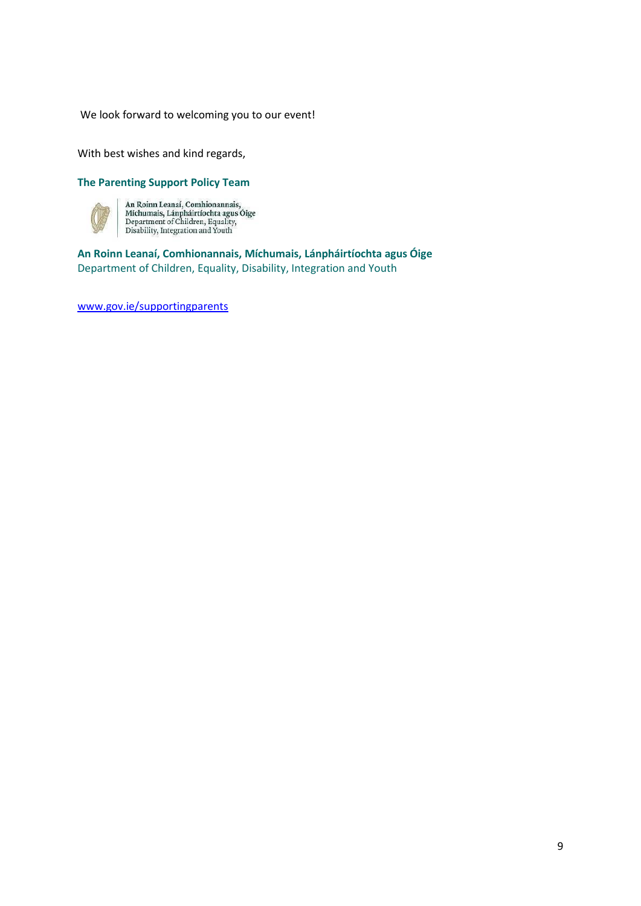We look forward to welcoming you to our event!

With best wishes and kind regards,

#### **The Parenting Support Policy Team**



An Roinn Leanaí, Comhionannais,<br>Míchumais, Lánpháirtíochta agus Óige<br>Department of Children, Equality,<br>Disability, Integration and Youth

**An Roinn Leanaí, Comhionannais, Míchumais, Lánpháirtíochta agus Óige**  Department of Children, Equality, Disability, Integration and Youth

[www.gov.ie/supportingparents](https://eur01.safelinks.protection.outlook.com/?url=http%3A%2F%2Fwww.gov.ie%2Fsupportingparents&data=05%7C01%7CColma.Niclughadha%40tusla.ie%7C7d40f97cb9344467b72708da326663a7%7Cee9e12c7bca144a2bff48fb8667b6be1%7C0%7C0%7C637877712605224032%7CUnknown%7CTWFpbGZsb3d8eyJWIjoiMC4wLjAwMDAiLCJQIjoiV2luMzIiLCJBTiI6Ik1haWwiLCJXVCI6Mn0%3D%7C3000%7C%7C%7C&sdata=TSaJBBp06msO1zyB3Tj%2Fg%2FKPT2dRD6CmjggH%2FL16E8g%3D&reserved=0)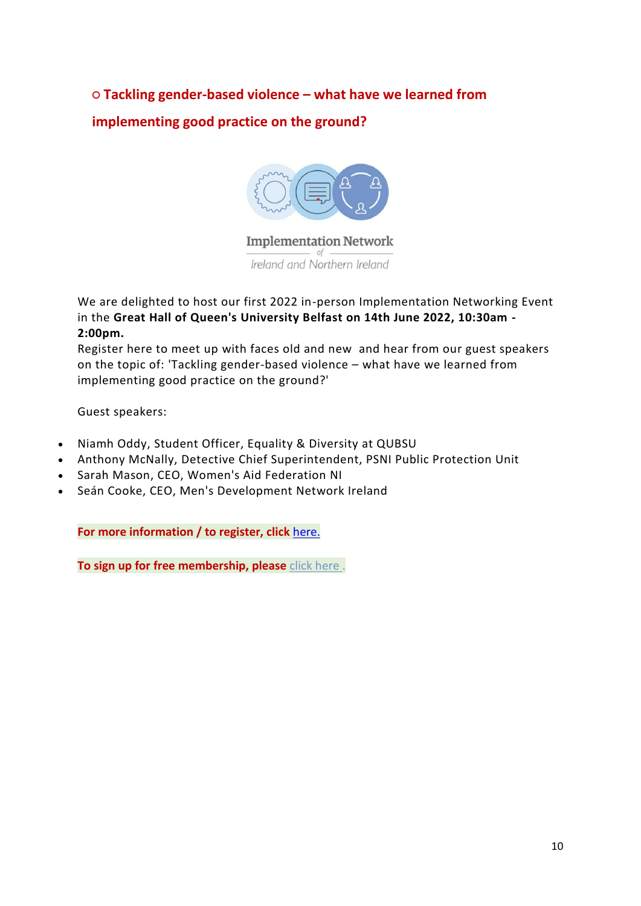**○ Tackling gender-based violence – what have we learned from implementing good practice on the ground?** 



**Implementation Network** Ireland and Northern Ireland

We are delighted to host our first 2022 in-person Implementation Networking Event in the **Great Hall of Queen's University Belfast on 14th June 2022, 10:30am - 2:00pm.**

Register here to meet up with faces old and new and hear from our guest speakers on the topic of: 'Tackling gender-based violence – what have we learned from implementing good practice on the ground?'

Guest speakers:

- Niamh Oddy, Student Officer, Equality & Diversity at QUBSU
- Anthony McNally, Detective Chief Superintendent, PSNI Public Protection Unit
- Sarah Mason, CEO, Women's Aid Federation NI
- Seán Cooke, CEO, Men's Development Network Ireland

**For more information / to register, click** [here.](https://www.eventbrite.ie/e/tackling-gender-based-violence-implementing-good-practice-on-the-ground-tickets-328036053667)

**To sign up for free membership, please** [click here .](mailto:cohagan@effectiveservices.org?subject=Become%20an%20Implementation%20Network%20Member&body=Hi%20Claire%2C%0A%0AI%20would%20like%20to%20become%20a%20member%20of%20the%20Implementation%20Network%20of%20Ireland%20and%20Northern%20Ireland.%0A%0A%0A)